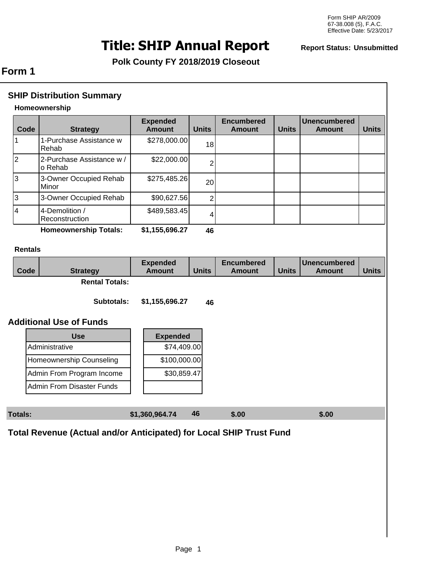# **Title: SHIP Annual Report Report Status: Unsubmitted**

**Polk County FY 2018/2019 Closeout** 

# **Form 1**

| <b>SHIP Distribution Summary</b> |                                                                     |                                  |                |                                    |              |                                      |              |
|----------------------------------|---------------------------------------------------------------------|----------------------------------|----------------|------------------------------------|--------------|--------------------------------------|--------------|
| Homeownership                    |                                                                     |                                  |                |                                    |              |                                      |              |
| Code                             | <b>Strategy</b>                                                     | <b>Expended</b><br><b>Amount</b> | <b>Units</b>   | <b>Encumbered</b><br><b>Amount</b> | <b>Units</b> | <b>Unencumbered</b><br><b>Amount</b> | <b>Units</b> |
| 1                                | 1-Purchase Assistance w<br>Rehab                                    | \$278,000.00                     | 18             |                                    |              |                                      |              |
| $\overline{2}$                   | 2-Purchase Assistance w /<br>o Rehab                                | \$22,000.00                      | $\overline{2}$ |                                    |              |                                      |              |
| 3                                | 3-Owner Occupied Rehab<br>Minor                                     | \$275,485.26                     | 20             |                                    |              |                                      |              |
| 3                                | 3-Owner Occupied Rehab                                              | \$90,627.56                      | $\overline{2}$ |                                    |              |                                      |              |
| $\overline{\mathbf{4}}$          | 4-Demolition /<br>Reconstruction                                    | \$489,583.45                     | 4              |                                    |              |                                      |              |
|                                  | <b>Homeownership Totals:</b>                                        | \$1,155,696.27                   | 46             |                                    |              |                                      |              |
| <b>Rentals</b>                   |                                                                     |                                  |                |                                    |              |                                      |              |
| Code                             | <b>Strategy</b>                                                     | <b>Expended</b><br><b>Amount</b> | <b>Units</b>   | <b>Encumbered</b><br><b>Amount</b> | <b>Units</b> | <b>Unencumbered</b><br><b>Amount</b> | <b>Units</b> |
|                                  | <b>Rental Totals:</b>                                               |                                  |                |                                    |              |                                      |              |
|                                  | Subtotals:                                                          | \$1,155,696.27                   | 46             |                                    |              |                                      |              |
|                                  | <b>Additional Use of Funds</b>                                      |                                  |                |                                    |              |                                      |              |
|                                  | <b>Use</b>                                                          | <b>Expended</b>                  |                |                                    |              |                                      |              |
|                                  | Administrative                                                      | \$74,409.00                      |                |                                    |              |                                      |              |
|                                  | Homeownership Counseling                                            | \$100,000.00                     |                |                                    |              |                                      |              |
|                                  | Admin From Program Income                                           | \$30,859.47                      |                |                                    |              |                                      |              |
|                                  | <b>Admin From Disaster Funds</b>                                    |                                  |                |                                    |              |                                      |              |
|                                  |                                                                     |                                  |                |                                    |              |                                      |              |
| <b>Totals:</b>                   |                                                                     | \$1,360,964.74                   | 46             | \$.00                              |              | \$.00                                |              |
|                                  | Total Revenue (Actual and/or Anticipated) for Local SHIP Trust Fund |                                  |                |                                    |              |                                      |              |
|                                  |                                                                     |                                  |                |                                    |              |                                      |              |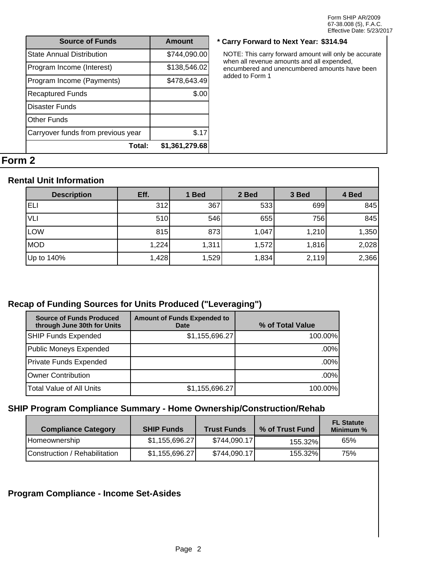| <b>Source of Funds</b>             | Amount         |
|------------------------------------|----------------|
| <b>State Annual Distribution</b>   | \$744,090.00   |
| Program Income (Interest)          | \$138,546.02   |
| Program Income (Payments)          | \$478,643.49   |
| <b>Recaptured Funds</b>            | \$.00          |
| Disaster Funds                     |                |
| Other Funds                        |                |
| Carryover funds from previous year | \$.17          |
| Total:                             | \$1,361,279.68 |

#### **Source of Funds Amount \* Carry Forward to Next Year: \$314.94**

NOTE: This carry forward amount will only be accurate when all revenue amounts and all expended, encumbered and unencumbered amounts have been added to Form 1

# **Form 2**

#### **Rental Unit Information**

| <b>Description</b> | Eff.  | 1 Bed | 2 Bed | 3 Bed | 4 Bed |
|--------------------|-------|-------|-------|-------|-------|
| ELI                | 312   | 367   | 533   | 699   | 845   |
| VLI                | 510   | 546   | 655   | 756   | 845   |
| <b>LOW</b>         | 815   | 873   | 1,047 | 1,210 | 1,350 |
| MOD                | 1,224 | 1,311 | 1,572 | 1,816 | 2,028 |
| Up to 140%         | 1,428 | 1,529 | 1,834 | 2,119 | 2,366 |

### **Recap of Funding Sources for Units Produced ("Leveraging")**

| <b>Source of Funds Produced</b><br>through June 30th for Units | <b>Amount of Funds Expended to</b><br><b>Date</b> | % of Total Value |
|----------------------------------------------------------------|---------------------------------------------------|------------------|
| SHIP Funds Expended                                            | \$1,155,696.27                                    | 100.00%          |
| Public Moneys Expended                                         |                                                   | $.00\%$          |
| Private Funds Expended                                         |                                                   | $.00\%$          |
| Owner Contribution                                             |                                                   | $.00\%$          |
| Total Value of All Units                                       | \$1,155,696.27                                    | 100.00%          |

# **SHIP Program Compliance Summary - Home Ownership/Construction/Rehab**

| <b>Compliance Category</b>    | <b>SHIP Funds</b> | <b>Trust Funds</b> | % of Trust Fund | <b>FL Statute</b><br>Minimum % |
|-------------------------------|-------------------|--------------------|-----------------|--------------------------------|
| Homeownership                 | \$1,155,696.27    | \$744,090.17]      | 155.32%         | 65%                            |
| Construction / Rehabilitation | \$1,155,696.27    | \$744,090.17]      | 155.32%         | 75%                            |

#### **Program Compliance - Income Set-Asides**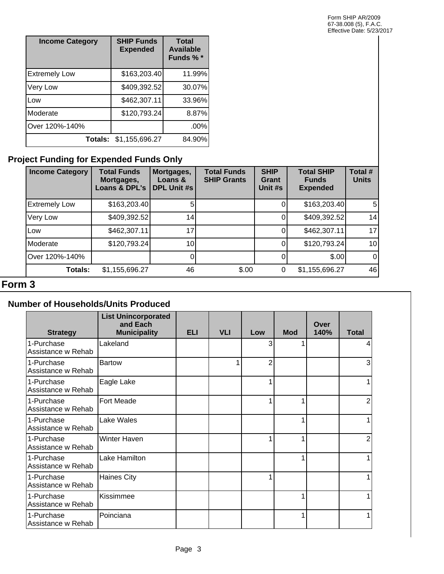| <b>Income Category</b> | <b>SHIP Funds</b><br><b>Expended</b> | <b>Total</b><br><b>Available</b><br>Funds % * |
|------------------------|--------------------------------------|-----------------------------------------------|
| <b>Extremely Low</b>   | \$163,203.40                         | 11.99%                                        |
| Very Low               | \$409,392.52                         | 30.07%                                        |
| <b>Low</b>             | \$462,307.11                         | 33.96%                                        |
| Moderate               | \$120,793.24                         | 8.87%                                         |
| Over 120%-140%         |                                      | .00%                                          |
| Totals:                | \$1,155,696.27                       | 84.90%                                        |

# **Project Funding for Expended Funds Only**

| <b>Income Category</b> | <b>Total Funds</b><br>Mortgages,<br>Loans & DPL's | Mortgages,<br>Loans &<br><b>DPL Unit #s</b> | <b>Total Funds</b><br><b>SHIP Grants</b> | <b>SHIP</b><br>Grant<br>Unit #s | <b>Total SHIP</b><br><b>Funds</b><br><b>Expended</b> | Total #<br><b>Units</b> |
|------------------------|---------------------------------------------------|---------------------------------------------|------------------------------------------|---------------------------------|------------------------------------------------------|-------------------------|
| <b>Extremely Low</b>   | \$163,203.40                                      |                                             |                                          |                                 | \$163,203.40                                         | 5 <sub>l</sub>          |
| Very Low               | \$409,392.52                                      | 14                                          |                                          | O                               | \$409,392.52                                         | 14                      |
| <b>Low</b>             | \$462,307.11                                      |                                             |                                          | 0                               | \$462,307.11                                         | 17 <sup>1</sup>         |
| Moderate               | \$120,793.24]                                     | 10 <sub>1</sub>                             |                                          |                                 | \$120,793.24                                         | 10 <sup>1</sup>         |
| Over 120%-140%         |                                                   |                                             |                                          |                                 | \$.00                                                | $\overline{0}$          |
| <b>Totals:</b>         | \$1,155,696.27                                    | 46                                          | \$.00                                    | 0                               | \$1,155,696.27                                       | 46                      |

# **Form 3**

### **Number of Households/Units Produced**

| <b>Strategy</b>                  | <b>List Unincorporated</b><br>and Each<br><b>Municipality</b> | <b>ELI</b> | <b>VLI</b> | Low | <b>Mod</b> | Over<br>140% | <b>Total</b> |
|----------------------------------|---------------------------------------------------------------|------------|------------|-----|------------|--------------|--------------|
| 1-Purchase<br>Assistance w Rehab | Lakeland                                                      |            |            | 3   |            |              |              |
| 1-Purchase<br>Assistance w Rehab | <b>Bartow</b>                                                 |            | 1          | 2   |            |              | 3            |
| 1-Purchase<br>Assistance w Rehab | Eagle Lake                                                    |            |            |     |            |              |              |
| 1-Purchase<br>Assistance w Rehab | <b>Fort Meade</b>                                             |            |            |     |            |              | 2            |
| 1-Purchase<br>Assistance w Rehab | Lake Wales                                                    |            |            |     |            |              |              |
| 1-Purchase<br>Assistance w Rehab | Winter Haven                                                  |            |            |     |            |              | 2            |
| 1-Purchase<br>Assistance w Rehab | Lake Hamilton                                                 |            |            |     |            |              |              |
| 1-Purchase<br>Assistance w Rehab | <b>Haines City</b>                                            |            |            |     |            |              |              |
| 1-Purchase<br>Assistance w Rehab | Kissimmee                                                     |            |            |     |            |              |              |
| 1-Purchase<br>Assistance w Rehab | Poinciana                                                     |            |            |     |            |              |              |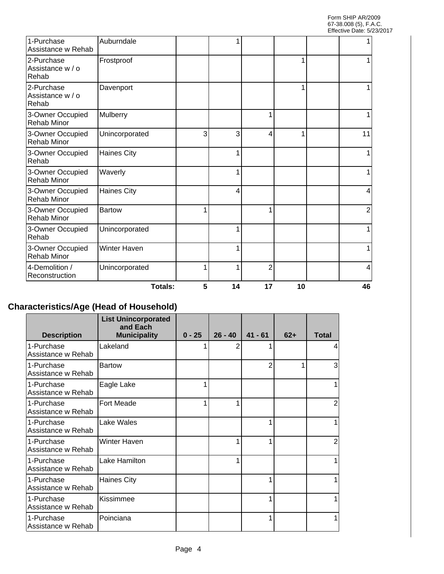| Reconstruction                                           | Unincorporated      |   |   | $\overline{2}$ |  | 4              |
|----------------------------------------------------------|---------------------|---|---|----------------|--|----------------|
| 3-Owner Occupied<br><b>Rehab Minor</b><br>4-Demolition / | <b>Winter Haven</b> | 1 |   |                |  |                |
| 3-Owner Occupied<br>Rehab                                | Unincorporated      |   |   |                |  |                |
| 3-Owner Occupied<br><b>Rehab Minor</b>                   | <b>Bartow</b>       | 1 |   |                |  | $\overline{2}$ |
| 3-Owner Occupied<br><b>Rehab Minor</b>                   | <b>Haines City</b>  |   | 4 |                |  | 4              |
| 3-Owner Occupied<br><b>Rehab Minor</b>                   | Waverly             |   |   |                |  |                |
| 3-Owner Occupied<br>Rehab                                | <b>Haines City</b>  |   |   |                |  |                |
| 3-Owner Occupied<br><b>Rehab Minor</b>                   | Unincorporated      | 3 | 3 | 4              |  | 11             |
| 3-Owner Occupied<br><b>Rehab Minor</b>                   | Mulberry            |   |   |                |  |                |
| 2-Purchase<br>Assistance w / o<br>Rehab                  | Davenport           |   |   |                |  |                |
| 2-Purchase<br>Assistance w / o<br>Rehab                  | Frostproof          |   |   |                |  |                |
| 1-Purchase<br>Assistance w Rehab                         | Auburndale          |   |   |                |  |                |

# **Characteristics/Age (Head of Household)**

| <b>Description</b>               | <b>List Unincorporated</b><br>and Each<br><b>Municipality</b> | $0 - 25$ | $26 - 40$ | $41 - 61$      | $62+$ | <b>Total</b> |
|----------------------------------|---------------------------------------------------------------|----------|-----------|----------------|-------|--------------|
| 1-Purchase<br>Assistance w Rehab | Lakeland                                                      |          | 2         |                |       | 4            |
| 1-Purchase<br>Assistance w Rehab | <b>Bartow</b>                                                 |          |           | $\overline{2}$ |       | 3            |
| 1-Purchase<br>Assistance w Rehab | Eagle Lake                                                    |          |           |                |       |              |
| 1-Purchase<br>Assistance w Rehab | <b>Fort Meade</b>                                             |          |           |                |       | 2            |
| 1-Purchase<br>Assistance w Rehab | Lake Wales                                                    |          |           |                |       |              |
| 1-Purchase<br>Assistance w Rehab | <b>Winter Haven</b>                                           |          |           |                |       | 2            |
| 1-Purchase<br>Assistance w Rehab | Lake Hamilton                                                 |          |           |                |       |              |
| 1-Purchase<br>Assistance w Rehab | <b>Haines City</b>                                            |          |           |                |       |              |
| 1-Purchase<br>Assistance w Rehab | Kissimmee                                                     |          |           | 1              |       |              |
| 1-Purchase<br>Assistance w Rehab | Poinciana                                                     |          |           |                |       |              |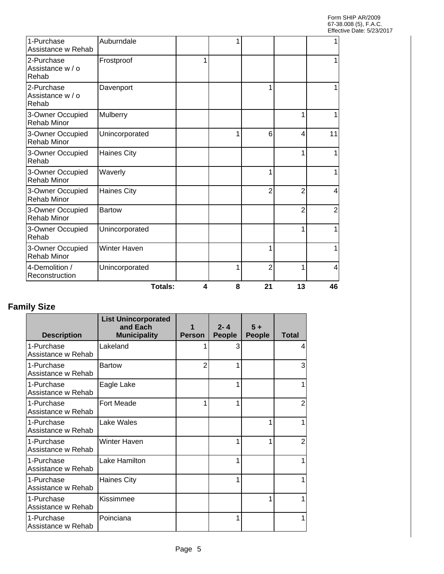|                                         | Totals:            | 4 | 8 | 21             | 13             | 46 |
|-----------------------------------------|--------------------|---|---|----------------|----------------|----|
| 4-Demolition /<br>Reconstruction        | Unincorporated     |   | 1 | $\overline{2}$ | 1              | 4  |
| 3-Owner Occupied<br><b>Rehab Minor</b>  | Winter Haven       |   |   | 1              |                |    |
| 3-Owner Occupied<br>Rehab               | Unincorporated     |   |   |                |                | 1  |
| 3-Owner Occupied<br><b>Rehab Minor</b>  | <b>Bartow</b>      |   |   |                | $\overline{2}$ | 2  |
| 3-Owner Occupied<br><b>Rehab Minor</b>  | <b>Haines City</b> |   |   | $\overline{2}$ | $\overline{2}$ | 4  |
| 3-Owner Occupied<br><b>Rehab Minor</b>  | Waverly            |   |   | 1              |                |    |
| 3-Owner Occupied<br>Rehab               | <b>Haines City</b> |   |   |                |                |    |
| 3-Owner Occupied<br><b>Rehab Minor</b>  | Unincorporated     |   | 1 | 6              | 4              | 11 |
| 3-Owner Occupied<br><b>Rehab Minor</b>  | Mulberry           |   |   |                |                |    |
| 2-Purchase<br>Assistance w / o<br>Rehab | Davenport          |   |   | 1              |                |    |
| 2-Purchase<br>Assistance w / o<br>Rehab | Frostproof         | 1 |   |                |                |    |
| 1-Purchase<br>Assistance w Rehab        | Auburndale         |   |   |                |                |    |

# **Family Size**

| <b>Description</b>               | <b>List Unincorporated</b><br>and Each<br><b>Municipality</b> | <b>Person</b> | $2 - 4$<br><b>People</b> | $5+$<br><b>People</b> | <b>Total</b>   |
|----------------------------------|---------------------------------------------------------------|---------------|--------------------------|-----------------------|----------------|
| 1-Purchase<br>Assistance w Rehab | Lakeland                                                      |               | 3                        |                       | 4              |
| 1-Purchase<br>Assistance w Rehab | <b>Bartow</b>                                                 | 2             | 1                        |                       | 3              |
| 1-Purchase<br>Assistance w Rehab | Eagle Lake                                                    |               |                          |                       | 1              |
| 1-Purchase<br>Assistance w Rehab | <b>Fort Meade</b>                                             |               | 1                        |                       | 2              |
| 1-Purchase<br>Assistance w Rehab | Lake Wales                                                    |               |                          |                       | 1              |
| 1-Purchase<br>Assistance w Rehab | <b>Winter Haven</b>                                           |               |                          |                       | $\overline{2}$ |
| 1-Purchase<br>Assistance w Rehab | Lake Hamilton                                                 |               |                          |                       |                |
| 1-Purchase<br>Assistance w Rehab | <b>Haines City</b>                                            |               |                          |                       |                |
| 1-Purchase<br>Assistance w Rehab | Kissimmee                                                     |               |                          |                       | 1              |
| 1-Purchase<br>Assistance w Rehab | Poinciana                                                     |               |                          |                       |                |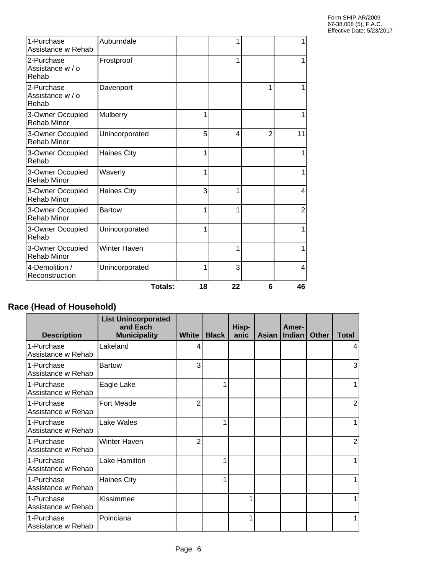| 1-Purchase<br>Assistance w Rehab        | Auburndale         |    | 1  |                | 1              |
|-----------------------------------------|--------------------|----|----|----------------|----------------|
| 2-Purchase<br>Assistance w / o<br>Rehab | Frostproof         |    | 1  |                |                |
| 2-Purchase<br>Assistance w / o<br>Rehab | Davenport          |    |    |                |                |
| 3-Owner Occupied<br><b>Rehab Minor</b>  | Mulberry           | 1  |    |                |                |
| 3-Owner Occupied<br><b>Rehab Minor</b>  | Unincorporated     | 5  | 4  | $\overline{2}$ | 11             |
| 3-Owner Occupied<br>Rehab               | <b>Haines City</b> | 1  |    |                | 1              |
| 3-Owner Occupied<br><b>Rehab Minor</b>  | Waverly            | 1  |    |                | 1              |
| 3-Owner Occupied<br><b>Rehab Minor</b>  | <b>Haines City</b> | 3  | 1  |                | 4              |
| 3-Owner Occupied<br><b>Rehab Minor</b>  | <b>Bartow</b>      | 1  | 1  |                | $\overline{2}$ |
| 3-Owner Occupied<br>Rehab               | Unincorporated     | 1  |    |                | 1              |
| 3-Owner Occupied<br><b>Rehab Minor</b>  | Winter Haven       |    | 1  |                |                |
| 4-Demolition /<br>Reconstruction        | Unincorporated     | 1  | 3  |                | 4              |
|                                         | <b>Totals:</b>     | 18 | 22 | 6              | 46             |

# **Race (Head of Household)**

| <b>Description</b>               | <b>List Unincorporated</b><br>and Each<br><b>Municipality</b> | <b>White</b> | <b>Black</b> | Hisp-<br>anic | <b>Asian</b> | Amer-<br><b>Indian</b> | <b>Other</b> | <b>Total</b> |
|----------------------------------|---------------------------------------------------------------|--------------|--------------|---------------|--------------|------------------------|--------------|--------------|
| 1-Purchase<br>Assistance w Rehab | Lakeland                                                      |              |              |               |              |                        |              | 4            |
| 1-Purchase<br>Assistance w Rehab | <b>Bartow</b>                                                 | 3            |              |               |              |                        |              | 3            |
| 1-Purchase<br>Assistance w Rehab | Eagle Lake                                                    |              | 1            |               |              |                        |              |              |
| 1-Purchase<br>Assistance w Rehab | <b>Fort Meade</b>                                             | 2            |              |               |              |                        |              | 2            |
| 1-Purchase<br>Assistance w Rehab | Lake Wales                                                    |              |              |               |              |                        |              |              |
| 1-Purchase<br>Assistance w Rehab | Winter Haven                                                  | 2            |              |               |              |                        |              | 2            |
| 1-Purchase<br>Assistance w Rehab | Lake Hamilton                                                 |              |              |               |              |                        |              |              |
| 1-Purchase<br>Assistance w Rehab | <b>Haines City</b>                                            |              |              |               |              |                        |              |              |
| 1-Purchase<br>Assistance w Rehab | Kissimmee                                                     |              |              | 1             |              |                        |              |              |
| 1-Purchase<br>Assistance w Rehab | Poinciana                                                     |              |              | 1             |              |                        |              |              |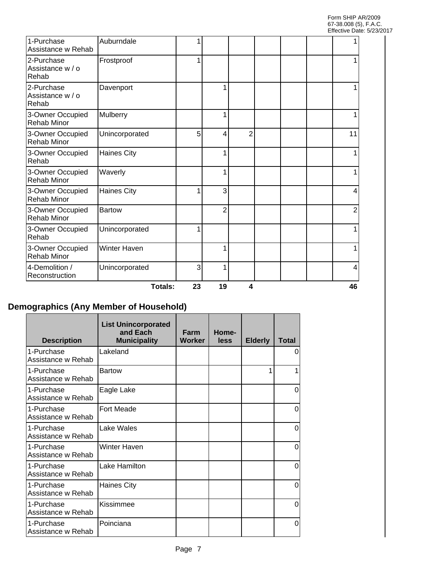| 1-Purchase<br>Assistance w Rehab        | Auburndale          |    |                |   |  |    |
|-----------------------------------------|---------------------|----|----------------|---|--|----|
| 2-Purchase<br>Assistance w / o<br>Rehab | Frostproof          | 1  |                |   |  |    |
| 2-Purchase<br>Assistance w / o<br>Rehab | Davenport           |    |                |   |  |    |
| 3-Owner Occupied<br><b>Rehab Minor</b>  | Mulberry            |    | 1              |   |  |    |
| 3-Owner Occupied<br><b>Rehab Minor</b>  | Unincorporated      | 5  | 4              | 2 |  | 11 |
| 3-Owner Occupied<br>Rehab               | <b>Haines City</b>  |    | 1              |   |  |    |
| 3-Owner Occupied<br><b>Rehab Minor</b>  | Waverly             |    | 1              |   |  |    |
| 3-Owner Occupied<br><b>Rehab Minor</b>  | <b>Haines City</b>  | 1  | 3              |   |  | Δ  |
| 3-Owner Occupied<br><b>Rehab Minor</b>  | <b>Bartow</b>       |    | $\overline{2}$ |   |  | 2  |
| 3-Owner Occupied<br>Rehab               | Unincorporated      | 1  |                |   |  |    |
| 3-Owner Occupied<br><b>Rehab Minor</b>  | <b>Winter Haven</b> |    | 1              |   |  |    |
| 4-Demolition /<br>Reconstruction        | Unincorporated      | 3  | 1              |   |  | 4  |
|                                         | Totals:             | 23 | 19             | 4 |  | 46 |

# **Demographics (Any Member of Household)**

 $\mathsf{r}$ 

| <b>Description</b>               | <b>List Unincorporated</b><br>and Each<br><b>Municipality</b> | Farm<br><b>Worker</b> | Home-<br>less | <b>Elderly</b> | <b>Total</b> |
|----------------------------------|---------------------------------------------------------------|-----------------------|---------------|----------------|--------------|
| 1-Purchase<br>Assistance w Rehab | Lakeland                                                      |                       |               |                | 0            |
| 1-Purchase<br>Assistance w Rehab | <b>Bartow</b>                                                 |                       |               | 1              |              |
| 1-Purchase<br>Assistance w Rehab | Eagle Lake                                                    |                       |               |                | 0            |
| 1-Purchase<br>Assistance w Rehab | <b>Fort Meade</b>                                             |                       |               |                | $\Omega$     |
| 1-Purchase<br>Assistance w Rehab | Lake Wales                                                    |                       |               |                | 0            |
| 1-Purchase<br>Assistance w Rehab | <b>Winter Haven</b>                                           |                       |               |                | 0            |
| 1-Purchase<br>Assistance w Rehab | Lake Hamilton                                                 |                       |               |                | 0            |
| 1-Purchase<br>Assistance w Rehab | <b>Haines City</b>                                            |                       |               |                | 0            |
| 1-Purchase<br>Assistance w Rehab | Kissimmee                                                     |                       |               |                | 0            |
| 1-Purchase<br>Assistance w Rehab | Poinciana                                                     |                       |               |                | 0            |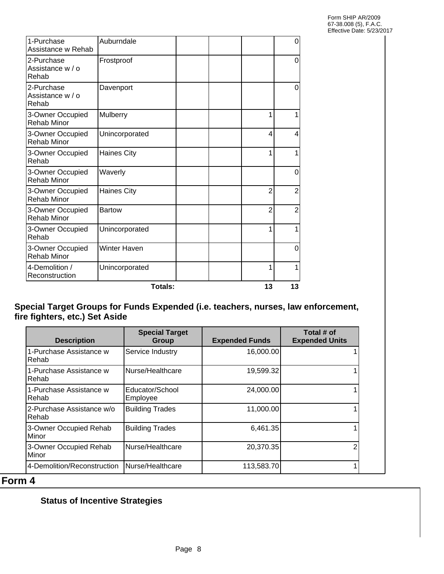|                                         | Totals:             | 13             | 13             |
|-----------------------------------------|---------------------|----------------|----------------|
| 4-Demolition /<br>Reconstruction        | Unincorporated      | 1              | 1              |
| 3-Owner Occupied<br><b>Rehab Minor</b>  | <b>Winter Haven</b> |                | 0              |
| 3-Owner Occupied<br>Rehab               | Unincorporated      | 1              | 1              |
| 3-Owner Occupied<br><b>Rehab Minor</b>  | <b>Bartow</b>       | $\overline{2}$ | $\overline{2}$ |
| 3-Owner Occupied<br><b>Rehab Minor</b>  | <b>Haines City</b>  | $\overline{2}$ | $\overline{2}$ |
| 3-Owner Occupied<br><b>Rehab Minor</b>  | Waverly             |                | 0              |
| 3-Owner Occupied<br>Rehab               | <b>Haines City</b>  | 1              | 1              |
| 3-Owner Occupied<br><b>Rehab Minor</b>  | Unincorporated      | 4              | 4              |
| 3-Owner Occupied<br><b>Rehab Minor</b>  | Mulberry            | 1              | 1              |
| 2-Purchase<br>Assistance w / o<br>Rehab | Davenport           |                | 0              |
| 2-Purchase<br>Assistance w / o<br>Rehab | Frostproof          |                | $\overline{0}$ |
| 1-Purchase<br>Assistance w Rehab        | Auburndale          |                | 0              |

#### **Special Target Groups for Funds Expended (i.e. teachers, nurses, law enforcement, fire fighters, etc.) Set Aside**

| <b>Description</b>                     | <b>Special Target</b><br>Group | <b>Expended Funds</b> | Total # of<br><b>Expended Units</b> |
|----------------------------------------|--------------------------------|-----------------------|-------------------------------------|
| 1-Purchase Assistance w<br>l Rehab     | Service Industry               | 16,000.00             |                                     |
| 1-Purchase Assistance w<br>l Rehab     | Nurse/Healthcare               | 19,599.32             |                                     |
| 1-Purchase Assistance w<br> Rehab      | Educator/School<br>Employee    | 24,000.00             |                                     |
| 2-Purchase Assistance w/o<br>l Rehab   | <b>Building Trades</b>         | 11,000.00             |                                     |
| 3-Owner Occupied Rehab<br><b>Minor</b> | <b>Building Trades</b>         | 6,461.35              |                                     |
| 3-Owner Occupied Rehab<br>Minor        | <b>I</b> Nurse/Healthcare      | 20,370.35             |                                     |
| 4-Demolition/Reconstruction            | Nurse/Healthcare               | 113,583.70            |                                     |

# **Form 4**

# **Status of Incentive Strategies**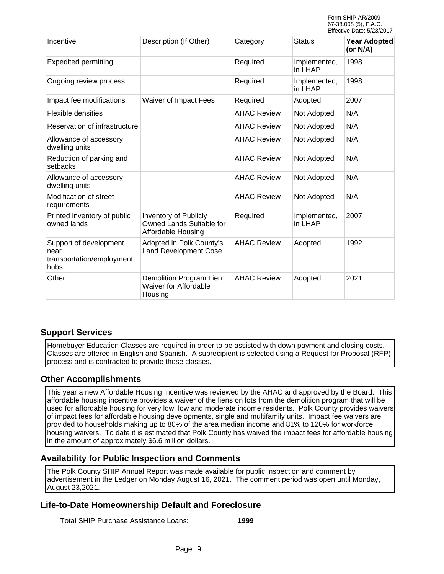| Incentive                                                           | Description (If Other)                                                         | Category           | <b>Status</b>           | <b>Year Adopted</b><br>(or N/A) |
|---------------------------------------------------------------------|--------------------------------------------------------------------------------|--------------------|-------------------------|---------------------------------|
| <b>Expedited permitting</b>                                         |                                                                                | Required           | Implemented,<br>in LHAP | 1998                            |
| Ongoing review process                                              |                                                                                | Required           | Implemented,<br>in LHAP | 1998                            |
| Impact fee modifications                                            | Waiver of Impact Fees                                                          | Required           | Adopted                 | 2007                            |
| Flexible densities                                                  |                                                                                | <b>AHAC Review</b> | Not Adopted             | N/A                             |
| Reservation of infrastructure                                       |                                                                                | <b>AHAC Review</b> | Not Adopted             | N/A                             |
| Allowance of accessory<br>dwelling units                            |                                                                                | <b>AHAC Review</b> | Not Adopted             | N/A                             |
| Reduction of parking and<br>setbacks                                |                                                                                | <b>AHAC Review</b> | Not Adopted             | N/A                             |
| Allowance of accessory<br>dwelling units                            |                                                                                | <b>AHAC Review</b> | Not Adopted             | N/A                             |
| Modification of street<br>requirements                              |                                                                                | <b>AHAC Review</b> | Not Adopted             | N/A                             |
| Printed inventory of public<br>owned lands                          | <b>Inventory of Publicly</b><br>Owned Lands Suitable for<br>Affordable Housing | Required           | Implemented,<br>in LHAP | 2007                            |
| Support of development<br>near<br>transportation/employment<br>hubs | Adopted in Polk County's<br><b>Land Development Cose</b>                       | <b>AHAC Review</b> | Adopted                 | 1992                            |
| Other                                                               | Demolition Program Lien<br><b>Waiver for Affordable</b><br>Housing             | <b>AHAC Review</b> | Adopted                 | 2021                            |

#### **Support Services**

Homebuyer Education Classes are required in order to be assisted with down payment and closing costs. Classes are offered in English and Spanish. A subrecipient is selected using a Request for Proposal (RFP) process and is contracted to provide these classes.

#### **Other Accomplishments**

This year a new Affordable Housing Incentive was reviewed by the AHAC and approved by the Board. This affordable housing incentive provides a waiver of the liens on lots from the demolition program that will be used for affordable housing for very low, low and moderate income residents. Polk County provides waivers of impact fees for affordable housing developments, single and multifamily units. Impact fee waivers are provided to households making up to 80% of the area median income and 81% to 120% for workforce housing waivers. To date it is estimated that Polk County has waived the impact fees for affordable housing in the amount of approximately \$6.6 million dollars.

#### **Availability for Public Inspection and Comments**

The Polk County SHIP Annual Report was made available for public inspection and comment by advertisement in the Ledger on Monday August 16, 2021. The comment period was open until Monday, August 23,2021.

#### **Life-to-Date Homeownership Default and Foreclosure**

Total SHIP Purchase Assistance Loans: **1999**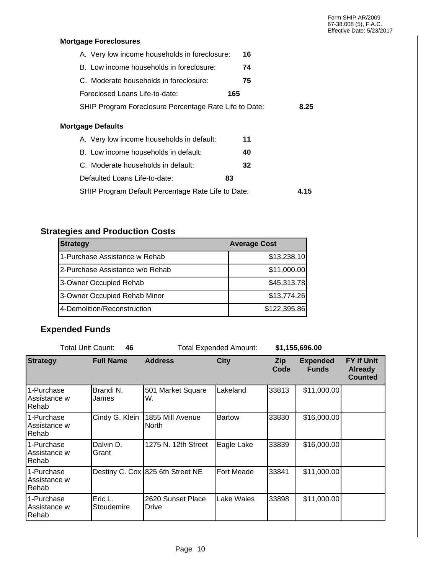#### **Mortgage Foreclosures**

| A. Very low income households in foreclosure:          | 16   |
|--------------------------------------------------------|------|
| B. Low income households in foreclosure:               | 74   |
| C. Moderate households in foreclosure:                 | 75   |
| Foreclosed Loans Life-to-date:                         | 165  |
| SHIP Program Foreclosure Percentage Rate Life to Date: | 8.25 |
| <b>Mortgage Defaults</b>                               |      |
| A. Very low income households in default:              | 11   |
| B. Low income households in default:                   | 40   |
| C. Moderate households in default:                     | 32   |
| Defaulted Loans Life-to-date:                          | 83   |
| SHIP Program Default Percentage Rate Life to Date:     | 4.15 |

# **Strategies and Production Costs**

| <b>Strategy</b>                 | <b>Average Cost</b> |
|---------------------------------|---------------------|
| 1-Purchase Assistance w Rehab   | \$13,238.10         |
| 2-Purchase Assistance w/o Rehab | \$11,000.00         |
| 3-Owner Occupied Rehab          | \$45,313.78         |
| 3-Owner Occupied Rehab Minor    | \$13,774.26         |
| 4-Demolition/Reconstruction     | \$122,395.86        |

# **Expended Funds**

| <b>Total Unit Count:</b>             | 46                    | <b>Total Expended Amount:</b>    |                   | \$1,155,696.00 |                                 |                                                       |
|--------------------------------------|-----------------------|----------------------------------|-------------------|----------------|---------------------------------|-------------------------------------------------------|
| <b>Strategy</b>                      | <b>Full Name</b>      | <b>Address</b>                   | <b>City</b>       | Zip<br>Code    | <b>Expended</b><br><b>Funds</b> | <b>FY if Unit</b><br><b>Already</b><br><b>Counted</b> |
| 1-Purchase<br>Assistance w<br>Rehab  | Brandi N.<br>James    | 501 Market Square<br>W.          | Lakeland          | 33813          | \$11,000.00                     |                                                       |
| 1-Purchase<br>Assistance w<br>Rehab  | Cindy G. Klein        | 1855 Mill Avenue<br>North        | <b>Bartow</b>     | 33830          | \$16,000.00                     |                                                       |
| 1-Purchase<br>Assistance w<br>Rehab  | Dalvin D.<br>Grant    | 1275 N. 12th Street              | Eagle Lake        | 33839          | \$16,000.00                     |                                                       |
| 1-Purchase<br>Assistance w<br>Rehab  |                       | Destiny C. Cox 825 6th Street NE | <b>Fort Meade</b> | 33841          | \$11,000.00                     |                                                       |
| 1-Purchase<br>Assistance w<br> Rehab | Eric L.<br>Stoudemire | 2620 Sunset Place<br>Drive       | Lake Wales        | 33898          | \$11,000.00                     |                                                       |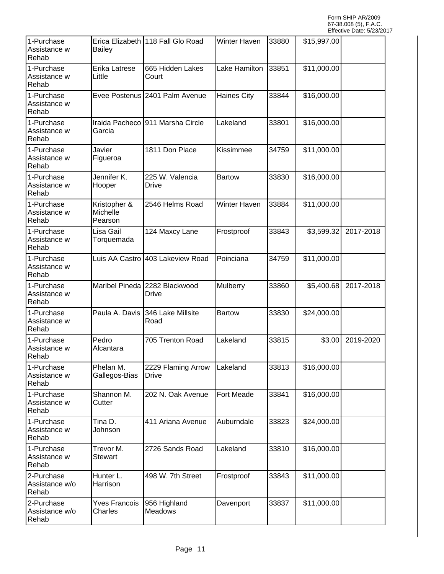| 1-Purchase<br>Assistance w<br>Rehab   | <b>Bailey</b>                              | Erica Elizabeth 118 Fall Glo Road      | Winter Haven       | 33880 | \$15,997.00 |           |
|---------------------------------------|--------------------------------------------|----------------------------------------|--------------------|-------|-------------|-----------|
| 1-Purchase<br>Assistance w<br>Rehab   | Erika Latrese<br>Little                    | 665 Hidden Lakes<br>Court              | Lake Hamilton      | 33851 | \$11,000.00 |           |
| 1-Purchase<br>Assistance w<br>Rehab   |                                            | Evee Postenus 2401 Palm Avenue         | <b>Haines City</b> | 33844 | \$16,000.00 |           |
| 1-Purchase<br>Assistance w<br>Rehab   | Garcia                                     | Iraida Pacheco 911 Marsha Circle       | Lakeland           | 33801 | \$16,000.00 |           |
| 1-Purchase<br>Assistance w<br>Rehab   | Javier<br>Figueroa                         | 1811 Don Place                         | Kissimmee          | 34759 | \$11,000.00 |           |
| 1-Purchase<br>Assistance w<br>Rehab   | Jennifer K.<br>Hooper                      | 225 W. Valencia<br>Drive               | <b>Bartow</b>      | 33830 | \$16,000.00 |           |
| 1-Purchase<br>Assistance w<br>Rehab   | Kristopher &<br><b>Michelle</b><br>Pearson | 2546 Helms Road                        | Winter Haven       | 33884 | \$11,000.00 |           |
| 1-Purchase<br>Assistance w<br>Rehab   | Lisa Gail<br>Torquemada                    | 124 Maxcy Lane                         | Frostproof         | 33843 | \$3,599.32  | 2017-2018 |
| 1-Purchase<br>Assistance w<br>Rehab   |                                            | Luis AA Castro 403 Lakeview Road       | Poinciana          | 34759 | \$11,000.00 |           |
| 1-Purchase<br>Assistance w<br>Rehab   |                                            | Maribel Pineda 2282 Blackwood<br>Drive | Mulberry           | 33860 | \$5,400.68  | 2017-2018 |
| 1-Purchase<br>Assistance w<br>Rehab   | Paula A. Davis                             | 346 Lake Millsite<br>Road              | <b>Bartow</b>      | 33830 | \$24,000.00 |           |
| 1-Purchase<br>Assistance w<br>Rehab   | Pedro<br>Alcantara                         | 705 Trenton Road                       | Lakeland           | 33815 | \$3.00      | 2019-2020 |
| 1-Purchase<br>Assistance w<br>Rehab   | Phelan M.<br>Gallegos-Bias                 | 2229 Flaming Arrow<br><b>Drive</b>     | Lakeland           | 33813 | \$16,000.00 |           |
| 1-Purchase<br>Assistance w<br>Rehab   | Shannon M.<br>Cutter                       | 202 N. Oak Avenue                      | Fort Meade         | 33841 | \$16,000.00 |           |
| 1-Purchase<br>Assistance w<br>Rehab   | Tina D.<br>Johnson                         | 411 Ariana Avenue                      | Auburndale         | 33823 | \$24,000.00 |           |
| 1-Purchase<br>Assistance w<br>Rehab   | Trevor M.<br><b>Stewart</b>                | 2726 Sands Road                        | Lakeland           | 33810 | \$16,000.00 |           |
| 2-Purchase<br>Assistance w/o<br>Rehab | Hunter L.<br>Harrison                      | 498 W. 7th Street                      | Frostproof         | 33843 | \$11,000.00 |           |
| 2-Purchase<br>Assistance w/o<br>Rehab | <b>Yves Francois</b><br>Charles            | 956 Highland<br>Meadows                | Davenport          | 33837 | \$11,000.00 |           |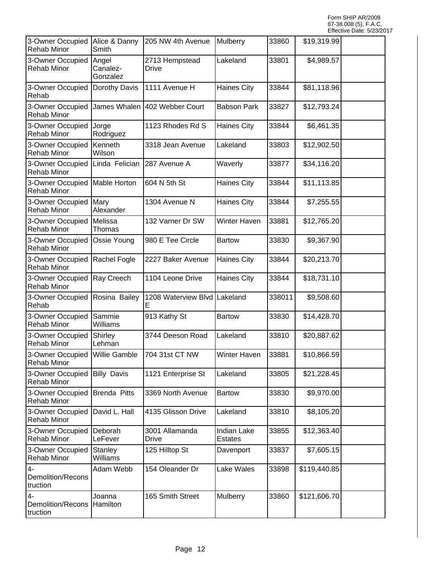| 3-Owner Occupied<br>Rehab Minor                 | Alice & Danny<br>Smith        | 205 NW 4th Avenue        | Mulberry                             | 33860  | \$19,319.99  |  |
|-------------------------------------------------|-------------------------------|--------------------------|--------------------------------------|--------|--------------|--|
| 3-Owner Occupied<br><b>Rehab Minor</b>          | Angel<br>Canalez-<br>Gonzalez | 2713 Hempstead<br>Drive  | Lakeland                             | 33801  | \$4,989.57   |  |
| 3-Owner Occupied<br> Rehab                      | Dorothy Davis                 | 1111 Avenue H            | <b>Haines City</b>                   | 33844  | \$81,118.96  |  |
| 3-Owner Occupied<br>Rehab Minor                 | James Whalen                  | 402 Webber Court         | <b>Babson Park</b>                   | 33827  | \$12,793.24  |  |
| 3-Owner Occupied<br><b>Rehab Minor</b>          | Jorge<br>Rodriguez            | 1123 Rhodes Rd S         | <b>Haines City</b>                   | 33844  | \$6,461.35   |  |
| 3-Owner Occupied<br>Rehab Minor                 | Kenneth<br>Wilson             | 3318 Jean Avenue         | Lakeland                             | 33803  | \$12,902.50  |  |
| 3-Owner Occupied<br>Rehab Minor                 | Linda Felician                | 287 Avenue A             | Waverly                              | 33877  | \$34,116.20  |  |
| 3-Owner Occupied<br>Rehab Minor                 | Mable Horton                  | 604 N 5th St             | <b>Haines City</b>                   | 33844  | \$11,113.85  |  |
| 3-Owner Occupied<br><b>Rehab Minor</b>          | Mary<br>Alexander             | 1304 Avenue N            | <b>Haines City</b>                   | 33844  | \$7,255.55   |  |
| 3-Owner Occupied<br>Rehab Minor                 | Melissa<br>Thomas             | 132 Varner Dr SW         | Winter Haven                         | 33881  | \$12,765.20  |  |
| 3-Owner Occupied<br>Rehab Minor                 | Ossie Young                   | 980 E Tee Circle         | <b>Bartow</b>                        | 33830  | \$9,367.90   |  |
| 3-Owner Occupied<br>Rehab Minor                 | Rachel Fogle                  | 2227 Baker Avenue        | <b>Haines City</b>                   | 33844  | \$20,213.70  |  |
| 3-Owner Occupied<br>Rehab Minor                 | Ray Creech                    | 1104 Leone Drive         | <b>Haines City</b>                   | 33844  | \$18,731.10  |  |
| 3-Owner Occupied<br>Rehab                       | Rosina Bailey                 | 1208 Waterview Blvd<br>E | Lakeland                             | 338011 | \$9,508.60   |  |
| 3-Owner Occupied<br>Rehab Minor                 | Sammie<br>Williams            | 913 Kathy St             | <b>Bartow</b>                        | 33830  | \$14,428.70  |  |
| 3-Owner Occupied<br>Rehab Minor                 | Shirley<br>Lehman             | 3744 Deeson Road         | Lakeland                             | 33810  | \$20,887.62  |  |
| 3-Owner Occupied<br>Rehab Minor                 | Willie Gamble                 | 704 31st CT NW           | Winter Haven                         | 33881  | \$10,866.59  |  |
| 3-Owner Occupied<br><b>Rehab Minor</b>          | <b>Billy Davis</b>            | 1121 Enterprise St       | Lakeland                             | 33805  | \$21,228.45  |  |
| 3-Owner Occupied<br><b>Rehab Minor</b>          | <b>Brenda Pitts</b>           | 3369 North Avenue        | <b>Bartow</b>                        | 33830  | \$9,970.00   |  |
| 3-Owner Occupied<br>Rehab Minor                 | David L. Hall                 | 4135 Glisson Drive       | Lakeland                             | 33810  | \$8,105.20   |  |
| 3-Owner Occupied<br>Rehab Minor                 | Deborah<br>LeFever            | 3001 Allamanda<br>Drive  | <b>Indian Lake</b><br><b>Estates</b> | 33855  | \$12,363.40  |  |
| 3-Owner Occupied<br>Rehab Minor                 | Stanley<br>Williams           | 125 Hilltop St           | Davenport                            | 33837  | \$7,605.15   |  |
| $\overline{4}$<br>Demolition/Recons<br>truction | Adam Webb                     | 154 Oleander Dr          | Lake Wales                           | 33898  | \$119,440.85 |  |
| $\overline{4}$<br>Demolition/Recons<br>truction | Joanna<br>Hamilton            | 165 Smith Street         | Mulberry                             | 33860  | \$121,606.70 |  |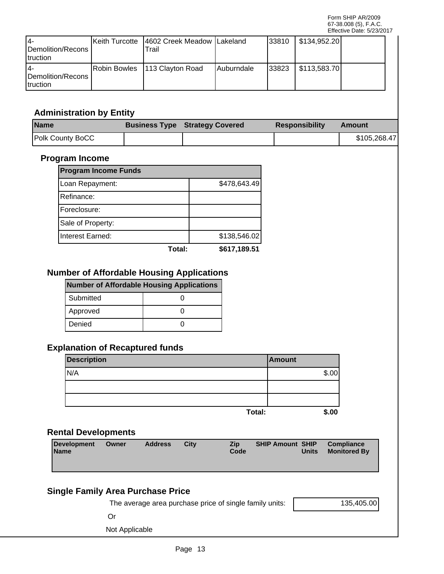| 14-<br><b>IDemolition/Recons</b><br><b>Itruction</b> | Keith Turcotte 14602 Creek Meadow   Lakeland<br>Гrail |                    | 133810 | \$134,952.20 |  |
|------------------------------------------------------|-------------------------------------------------------|--------------------|--------|--------------|--|
| 14-<br>Demolition/Recons<br>Itruction                | Robin Bowles   113 Clayton Road                       | <b>IAuburndale</b> | 133823 | \$113,583.70 |  |

# **Administration by Entity**

| <b>Name</b>             | <b>Business Type Strategy Covered</b> | <b>Responsibility</b> | Amount       |
|-------------------------|---------------------------------------|-----------------------|--------------|
| <b>Polk County BoCC</b> |                                       |                       | \$105,268.47 |

#### **Program Income**

| <b>Program Income Funds</b> |              |
|-----------------------------|--------------|
| Loan Repayment:             | \$478,643.49 |
| Refinance:                  |              |
| Foreclosure:                |              |
| Sale of Property:           |              |
| Interest Earned:            | \$138,546.02 |
| Total:                      | \$617,189.51 |

### **Number of Affordable Housing Applications**

| Number of Affordable Housing Applications |  |  |  |  |  |  |
|-------------------------------------------|--|--|--|--|--|--|
| Submitted                                 |  |  |  |  |  |  |
| Approved                                  |  |  |  |  |  |  |
| Denied                                    |  |  |  |  |  |  |

### **Explanation of Recaptured funds**

| <b>Description</b> |        | <b>Amount</b> |
|--------------------|--------|---------------|
| IN/A               |        | \$.00         |
|                    |        |               |
|                    |        |               |
|                    | Total: | \$.00         |

### **Rental Developments**

| <b>Development</b><br><b>Name</b> | Owner | <b>Address</b> | <b>City</b> | <b>Zip</b><br>Code | <b>SHIP Amount SHIP</b> | Units | Compliance<br><b>Monitored By</b> |
|-----------------------------------|-------|----------------|-------------|--------------------|-------------------------|-------|-----------------------------------|
|                                   |       |                |             |                    |                         |       |                                   |

# **Single Family Area Purchase Price**

The average area purchase price of single family units:

135,405.00

Or

Not Applicable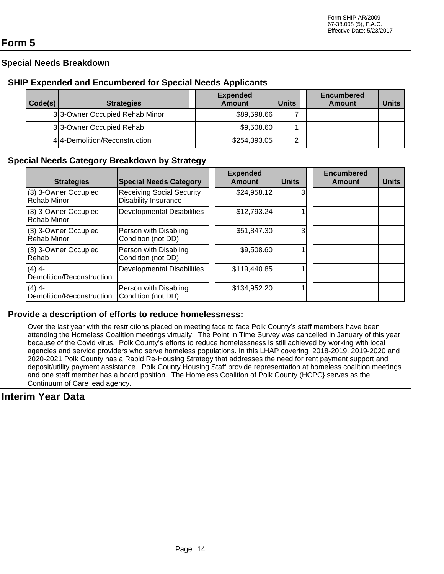# **Form 5**

# **Special Needs Breakdown**

### **SHIP Expended and Encumbered for Special Needs Applicants**

| Code(s) | <b>Strategies</b>             | <b>Expended</b><br><b>Amount</b> | <b>Units</b>   | <b>Encumbered</b><br>Amount | <b>Units</b> |
|---------|-------------------------------|----------------------------------|----------------|-----------------------------|--------------|
|         | 33-Owner Occupied Rehab Minor | \$89,598.66                      |                |                             |              |
|         | 33-Owner Occupied Rehab       | \$9,508.60                       |                |                             |              |
|         | 4 4-Demolition/Reconstruction | \$254,393.05                     | $\overline{2}$ |                             |              |

### **Special Needs Category Breakdown by Strategy**

| <b>Strategies</b>                          | <b>Special Needs Category</b>                            | <b>Expended</b><br><b>Amount</b> | <b>Units</b> | <b>Encumbered</b><br><b>Amount</b> | <b>Units</b> |
|--------------------------------------------|----------------------------------------------------------|----------------------------------|--------------|------------------------------------|--------------|
| (3) 3-Owner Occupied<br><b>Rehab Minor</b> | <b>Receiving Social Security</b><br>Disability Insurance | \$24,958.12]                     | 3            |                                    |              |
| (3) 3-Owner Occupied<br><b>Rehab Minor</b> | Developmental Disabilities                               | \$12,793.24                      |              |                                    |              |
| (3) 3-Owner Occupied<br>Rehab Minor        | Person with Disabling<br>Condition (not DD)              | \$51,847.30                      | 3            |                                    |              |
| (3) 3-Owner Occupied<br>Rehab              | Person with Disabling<br>Condition (not DD)              | \$9,508.60                       |              |                                    |              |
| $(4)$ 4-<br>Demolition/Reconstruction      | Developmental Disabilities                               | \$119,440.85                     |              |                                    |              |
| $(4)$ 4-<br>Demolition/Reconstruction      | Person with Disabling<br>Condition (not DD)              | \$134,952.20                     |              |                                    |              |

#### **Provide a description of efforts to reduce homelessness:**

Over the last year with the restrictions placed on meeting face to face Polk County's staff members have been attending the Homeless Coalition meetings virtually. The Point In Time Survey was cancelled in January of this year because of the Covid virus. Polk County's efforts to reduce homelessness is still achieved by working with local agencies and service providers who serve homeless populations. In this LHAP covering 2018-2019, 2019-2020 and 2020-2021 Polk County has a Rapid Re-Housing Strategy that addresses the need for rent payment support and deposit/utility payment assistance. Polk County Housing Staff provide representation at homeless coalition meetings and one staff member has a board position. The Homeless Coalition of Polk County (HCPC} serves as the Continuum of Care lead agency.

# **Interim Year Data**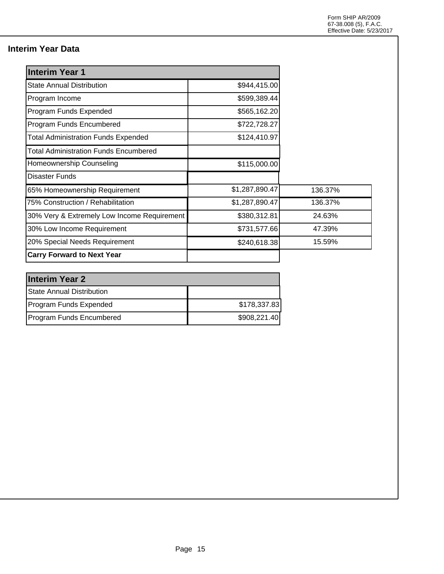# **Interim Year Data**

| <b>Interim Year 1</b>                        |                |         |
|----------------------------------------------|----------------|---------|
| <b>State Annual Distribution</b>             | \$944,415.00   |         |
| Program Income                               | \$599,389.44   |         |
| Program Funds Expended                       | \$565,162.20   |         |
| Program Funds Encumbered                     | \$722,728.27   |         |
| <b>Total Administration Funds Expended</b>   | \$124,410.97   |         |
| <b>Total Administration Funds Encumbered</b> |                |         |
| Homeownership Counseling                     | \$115,000.00   |         |
| Disaster Funds                               |                |         |
| 65% Homeownership Requirement                | \$1,287,890.47 | 136.37% |
| 75% Construction / Rehabilitation            | \$1,287,890.47 | 136.37% |
| 30% Very & Extremely Low Income Requirement  | \$380,312.81   | 24.63%  |
| 30% Low Income Requirement                   | \$731,577.66   | 47.39%  |
| 20% Special Needs Requirement                | \$240,618.38   | 15.59%  |
| <b>Carry Forward to Next Year</b>            |                |         |

| <b>Interim Year 2</b>     |              |  |  |  |  |
|---------------------------|--------------|--|--|--|--|
| State Annual Distribution |              |  |  |  |  |
| Program Funds Expended    | \$178,337.83 |  |  |  |  |
| Program Funds Encumbered  | \$908,221.40 |  |  |  |  |